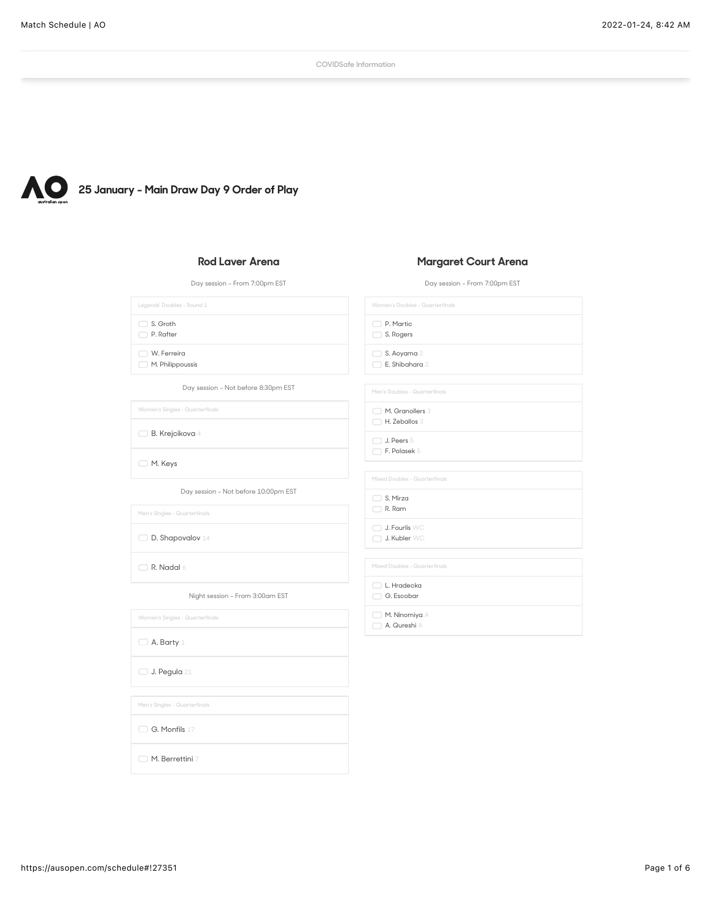**[COVIDSafe Information](https://ausopen.com/covid-safe)**



**25 January - Main Draw Day 9 Order of Play**

# **Rod Laver Arena**

# **Margaret Court Arena**

Day session - From 7:00pm EST

| Day session - From 7:00pm EST        | Day session - From 7:00pm EST                   |
|--------------------------------------|-------------------------------------------------|
| Legends' Doubles - Round 1           | Women's Doubles - Quarterfinals                 |
| S. Groth<br>P. Rafter                | P. Martic<br>S. Rogers                          |
| W. Ferreira<br>M. Philippoussis      | S. Aoyama 2<br>E. Shibahara 2                   |
| Day session - Not before 8:30pm EST  | Men's Doubles - Quarterfinals                   |
| Women's Singles · Quarterfinals      | M. Granollers 3                                 |
| □ B. Krejcikova 4                    | $\Box$ H. Zeballos 3<br>$\Box$ J. Peers $5$     |
| M. Keys                              | F. Polasek 5                                    |
| Day session - Not before 10:00pm EST | Mixed Doubles · Quarterfinals                   |
| Men's Singles · Quarterfinals        | S. Mirza<br>$\Box$ R. Ram                       |
| D. Shapovalov 14                     | $\Box$ J. Fourlis $W\mathbb{C}$<br>J. Kubler WC |
| $\Box$ R. Nadal 6                    | Mixed Doubles - Quarterfinals                   |
| Night session - From 3:00am EST      | L. Hradecka<br>G. Escobar                       |
| Women's Singles · Quarterfinals      | M. Ninomiya A<br>A. Qureshi A                   |
| $\Box$ A. Barty 1                    |                                                 |
| $\Box$ J. Pegula 21                  |                                                 |
| Men's Singles · Quarterfinals        |                                                 |
| G. Monfils 17                        |                                                 |
| M. Berrettini 7                      |                                                 |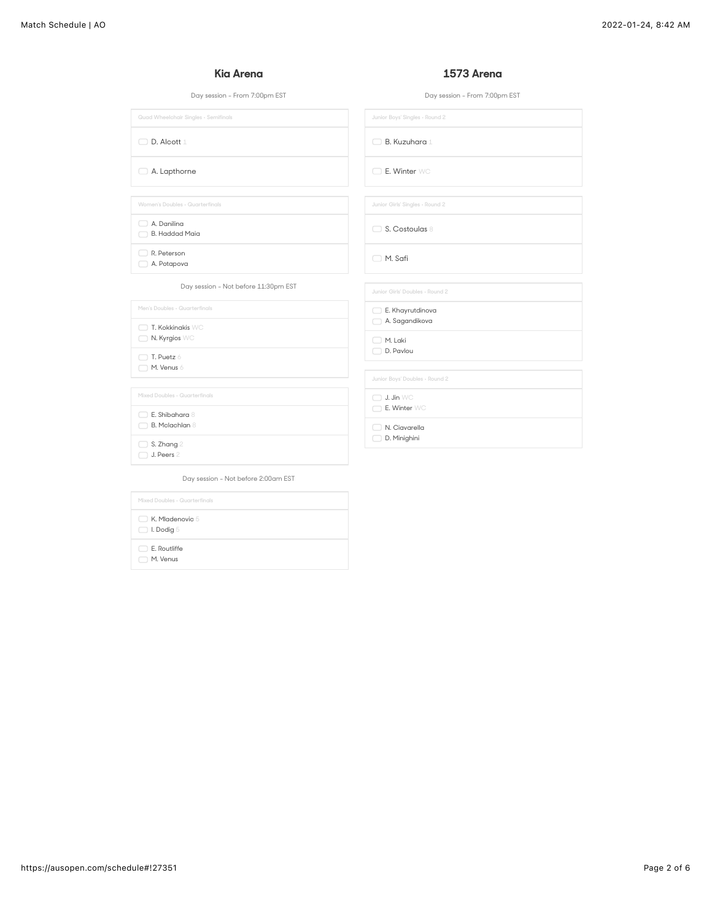#### **Kia Arena**

#### **1573 Arena**

Day session - From 7:00pm EST **[Quad Wheelchair Singles • Semifinals](https://ausopen.com/match/2022-dylan-alcott-vs-andy-lapthorne-us201)**  $\Box$  [D. Alcott 1](https://ausopen.com/players/australia/dylan-alcott) [A. Lapthorne](https://ausopen.com/players/united-kingdom/andy-lapthorne) **[Women's Doubles • Quarterfinals](https://ausopen.com/match/2022-anna-danilina-beatriz-haddad-maia-vs-rebecca-peterson-anastasia-potapova-wd403)** [A. Danilina](https://ausopen.com/players/kazakhstan/anna-danilina) [B. Haddad Maia](https://ausopen.com/players/brazil/beatriz-haddad-maia) [R. Peterson](https://ausopen.com/players/sweden/rebecca-peterson) [A. Potapova](https://ausopen.com/players/russia/anastasia-potapova) Day session - Not before 11:30pm EST **[Men's Doubles • Quarterfinals](https://ausopen.com/match/2022-thanasi-kokkinakis-nick-kyrgios-vs-tim-puetz-michael-venus-md401)**  $\Box$  T. Kokkinakis  $W\Box$ [N. Kyrgios WC](https://ausopen.com/players/australia/nick-kyrgios)  $\Box$  T. Puetz  $6$  $\Box$  [M. Venus 6](https://ausopen.com/players/new-zealand/michael-venus) **[Mixed Doubles • Quarterfinals](https://ausopen.com/match/2022-ena-shibahara-ben-mclachlan-vs-shuai-zhang-john-peers-xd304)**  $\Box$  [E. Shibahara 8](https://ausopen.com/players/japan/ena-shibahara) [B. Mclachlan 8](https://ausopen.com/players/japan/ben-mclachlan)  $\Box$  [S. Zhang 2](https://ausopen.com/players/china/shuai-zhang) [J. Peers 2](https://ausopen.com/players/australia/john-peers) Day session - Not before 2:00am EST **[Mixed Doubles • Quarterfinals](https://ausopen.com/match/2022-kristina-mladenovic-ivan-dodig-vs-erin-routliffe-michael-venus-xd303)** [K. Mladenovic 5](https://ausopen.com/players/france/kristina-mladenovic) Day session - From 7:00pm EST **[Junior Boys' Singles • Round 2](https://ausopen.com/match/2022-bruno-kuzuhara-vs-edward-winter-bs201)**  $\Box$  [B. Kuzuhara 1](https://ausopen.com/players/united-states-america/bruno-kuzuhara)  $\Box$  E. Winter  $W\odot$ **[Junior Girls' Singles • Round 2](https://ausopen.com/match/2022-sofia-costoulas-vs-meshkatolzahra-safi-gs213)** [S. Costoulas 8](https://ausopen.com/players/belgium/sofia-costoulas-0) [M. Safi](https://ausopen.com/players/iran/meshkatolzahra-safi) **[Junior Girls' Doubles • Round 2](https://ausopen.com/match/2022-ekaterina-khayrutdinova-aruzhan-sagandikova-vs-michaela-laki-dimitra-pavlou-gd206)** [E. Khayrutdinova](https://ausopen.com/players/russia/ekaterina-khayrutdinova) [A. Sagandikova](https://ausopen.com/players/kazakhstan/aruzhan-sagandikova)  $\Box$  [M. Laki](https://ausopen.com/players/greece/michaela-laki) [D. Pavlou](https://ausopen.com/players/greece/dimitra-pavlou) **[Junior Boys' Doubles • Round 2](https://ausopen.com/match/2022-jeremy-jin-edward-winter-vs-niccolo-ciavarella-daniele-minighini-bd207)**  $\Box$  J. Jin  $W\odot$ [E. Winter WC](https://ausopen.com/players/australia/edward-winter-0) [N. Ciavarella](https://ausopen.com/players/italy/niccolo-ciavarella) [D. Minighini](https://ausopen.com/players/italy/daniele-minighini)

[I. Dodig 5](https://ausopen.com/players/croatia/ivan-dodig) [E. Routliffe](https://ausopen.com/players/new-zealand/erin-routliffe) [M. Venus](https://ausopen.com/players/new-zealand/michael-venus)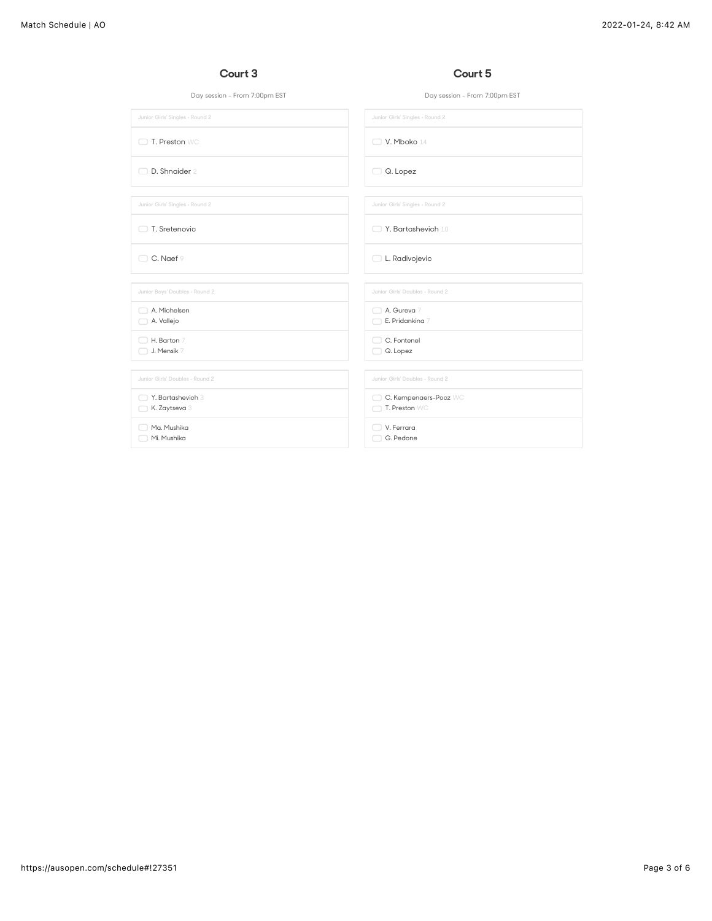# **Court 5**

| Day session - From 7:00pm EST   | Day session - From 7:00pm EST   |
|---------------------------------|---------------------------------|
| Junior Girls' Singles - Round 2 | Junior Girls' Singles - Round 2 |
| <b>T. Preston</b> WC            | □ V. Mboko 14                   |
| D. Shnaider 2                   | Q. Lopez                        |
| Junior Girls' Singles - Round 2 | Junior Girls' Singles - Round 2 |
| □ T. Sretenovic                 | Y. Bartashevich 10              |
| $\Box$ C. Naef $9$              | L. Radivojevic                  |
| Junior Boys' Doubles - Round 2  | Junior Girls' Doubles - Round 2 |
| A. Michelsen<br>. .             | A. Gureva 7                     |
| A. Vallejo                      | E. Pridankina 7                 |
| H. Barton 7                     | C. Fontenel                     |
| J. Mensik 7                     | Q. Lopez                        |
| Junior Girls' Doubles - Round 2 | Junior Girls' Doubles - Round 2 |
| Y. Bartashevich 3               | C. Kempenaers-Pocz WC           |
| K. Zaytseva 3                   | T. Preston WC                   |
| Ma. Mushika                     | $\Box$ V. Ferrara               |
| Mi, Mushika<br>$\Box$           | G. Pedone                       |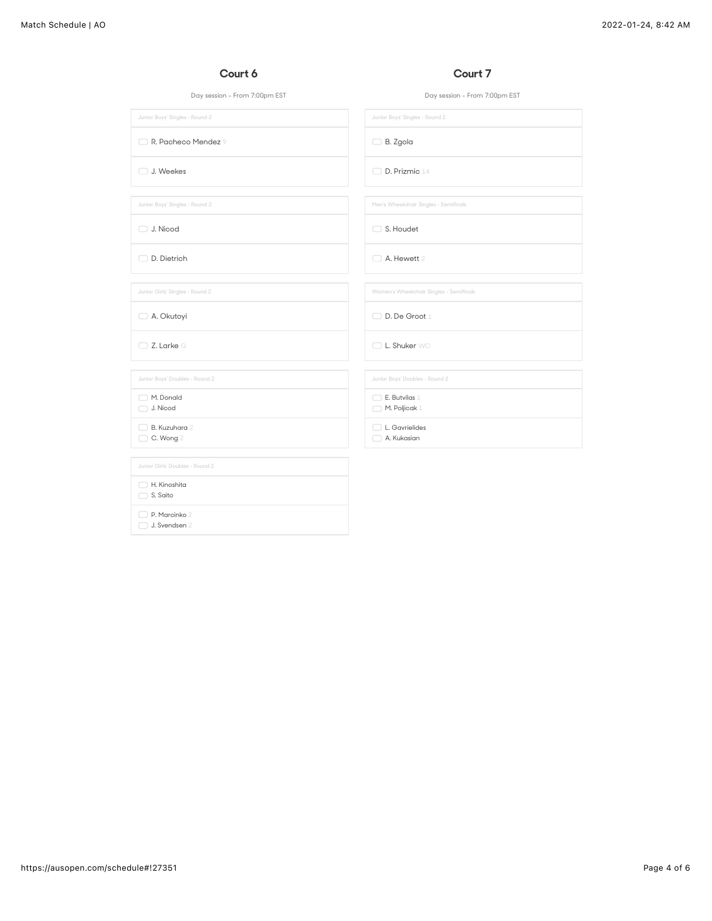#### **Court 7**

Day session - From 7:00pm EST **Junior Boys' Singles • Round 2** [R. Pacheco Mendez 9](https://ausopen.com/match/2022-rodrigo-pacheco-mendez-vs-jaden-weekes-bs207) [J. Weekes](https://ausopen.com/players/canada/jaden-weekes) **[Junior Boys' Singles • Round 2](https://ausopen.com/match/2022-jakub-nicod-vs-dylan-dietrich-bs208)** [J. Nicod](https://ausopen.com/players/czech-republic/jakub-nicod) [D. Dietrich](https://ausopen.com/players/switzerland/dylan-dietrich) **[Junior Girls' Singles • Round 2](https://ausopen.com/match/2022-angella-okutoyi-vs-zara-larke-gs204)** [A. Okutoyi](https://ausopen.com/players/kenya/angella-okutoyi) [Z. Larke Q](https://ausopen.com/players/australia/zara-larke) **[Junior Boys' Doubles • Round 2](https://ausopen.com/match/2022-matthew-william-donald-jakub-nicod-vs-bruno-kuzuhara-coleman-wong-bd208)** [M. Donald](https://ausopen.com/players/czech-republic/matthew-william-donald) [J. Nicod](https://ausopen.com/players/czech-republic/jakub-nicod) [B. Kuzuhara 2](https://ausopen.com/players/united-states-america/bruno-kuzuhara) [C. Wong 2](https://ausopen.com/players/hong-kong-china/coleman-wong) **[Junior Girls' Doubles • Round 2](https://ausopen.com/match/2022-hayu-kinoshita-sara-saito-vs-petra-marcinko-johanne-christine-svendsen-gd208)** [H. Kinoshita](https://ausopen.com/players/japan/hayu-kinoshita) [S. Saito](https://ausopen.com/players/japan/sara-saito) [P. Marcinko 2](https://ausopen.com/players/croatia/petra-marcinko) [J. Svendsen 2](https://ausopen.com/players/denmark/johanne-christine-svendsen) Day session - From 7:00pm EST **[Junior Boys' Singles • Round 2](https://ausopen.com/match/2022-borys-zgola-vs-dino-prizmic-bs206)** [B. Zgola](https://ausopen.com/players/poland/borys-zgola) D. Prizmio 14 **[Men's Wheelchair Singles • Semifinals](https://ausopen.com/match/2022-stephane-houdet-vs-alfie-hewett-cs202)** [S. Houdet](https://ausopen.com/players/france/stephane-houdet) [A. Hewett 2](https://ausopen.com/players/united-kingdom/alfie-hewett-0) **[Women's Wheelchair Singles • Semifinals](https://ausopen.com/match/2022-diede-de-groot-vs-lucy-shuker-ds201)**  $\Box$  [D. De Groot 1](https://ausopen.com/players/netherlands/diede-de-groot) [L. Shuker WC](https://ausopen.com/players/united-kingdom/lucy-shuker-0) **[Junior Boys' Doubles • Round 2](https://ausopen.com/match/2022-edas-butvilas-mili-poljicak-vs-liam-gavrielides-artur-kukasian-bd201)**  $\Box$  E. Butvilas  $\bot$  $\Box$  [M. Poljicak 1](https://ausopen.com/players/croatia/mili-poljicak) [L. Gavrielides](https://ausopen.com/players/germany/liam-gavrielides) [A. Kukasian](https://ausopen.com/players/russia/artur-kukasian)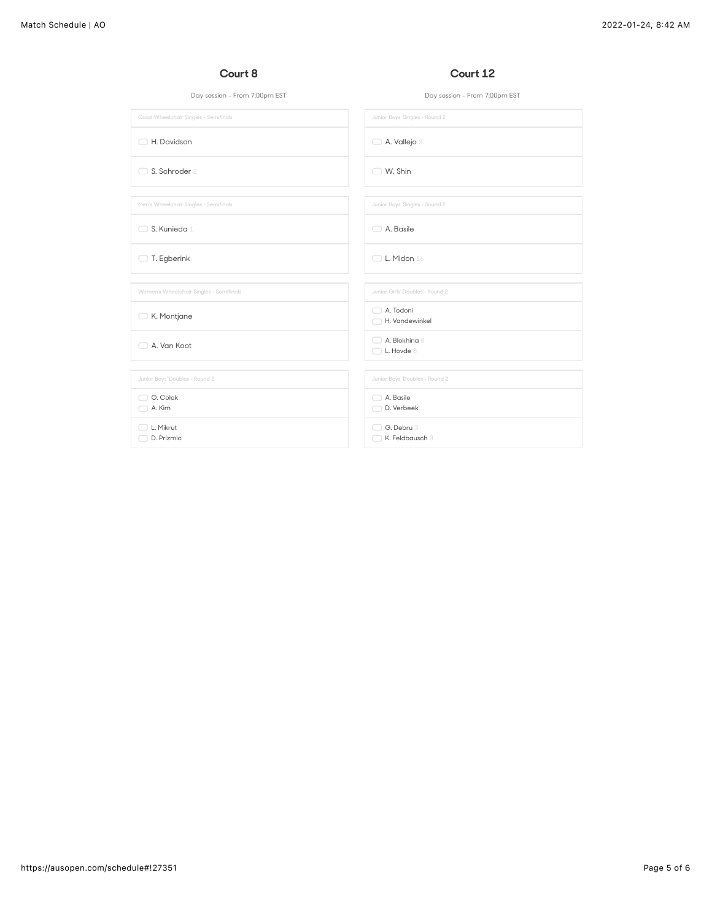# **Court 12**

| Day session - From 7:00pm EST           | Day session - From 7:00pm EST        |
|-----------------------------------------|--------------------------------------|
| Quad Wheelchair Singles · Semifinals    | Junior Boys' Singles - Round 2       |
| H. Davidson                             | A. Vallejo 3                         |
| S. Schroder 2                           | $\Box$ W. Shin                       |
| Men's Wheelchair Singles · Semifinals   | Junior Boys' Singles - Round 2       |
| S. Kunieda 1<br>□                       | A. Basile                            |
| □ T. Egberink                           | $\Box$ L. Midon 16                   |
| Women's Wheelchair Singles · Semifinals | Junior Girls' Doubles - Round 2      |
| K. Montjane                             | A. Todoni<br>H. Vandewinkel          |
| A. Van Koot                             | A. Blokhing 8<br>$\Box$ L. Hovde $8$ |
| Junior Boys' Doubles - Round 2          | Junior Boys' Doubles - Round 2       |
| O. Colak<br>A. Kim                      | A. Basile<br>D. Verbeek              |
| L. Mikrut<br>D. Prizmic                 | G. Debru 3<br>K. Feldbausch 3        |